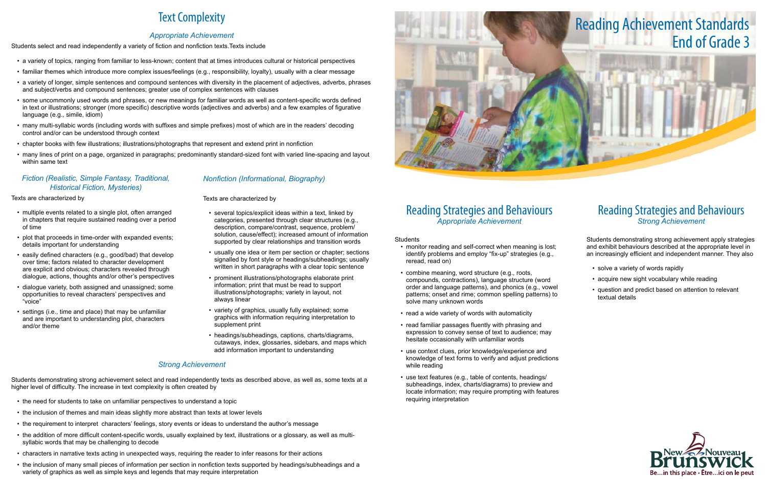## Reading Strategies and Behaviours *Appropriate Achievement*

#### Students

- monitor reading and self-correct when meaning is lost: identify problems and employ "fix-up" strategies (e.g., reread, read on)
- combine meaning, word structure (e.g., roots, compounds, contractions), language structure (word order and language patterns), and phonics (e.g., vowel patterns; onset and rime; common spelling patterns) to solve many unknown words
- read a wide variety of words with automaticity
- read familiar passages fluently with phrasing and expression to convey sense of text to audience; may hesitate occasionally with unfamiliar words
- • use context clues, prior knowledge/experience and knowledge of text forms to verify and adjust predictions while reading
- use text features (e.g., table of contents, headings/ subheadings, index, charts/diagrams) to preview and locate information; may require prompting with features requiring interpretation

- solve a variety of words rapidly
- acquire new sight vocabulary while reading
- • question and predict based on attention to relevant textual details



## Reading Strategies and Behaviours *Strong Achievement*

Students demonstrating strong achievement apply strategies and exhibit behaviours described at the appropriate level in an increasingly efficient and independent manner. They also

# Text Complexity

### *Appropriate Achievement*

Students select and read independently a variety of fiction and nonfiction texts.Texts include

- multiple events related to a single plot, often arranged in chapters that require sustained reading over a period of time
- plot that proceeds in time-order with expanded events; details important for understanding
- easily defined characters (e.g., good/bad) that develop over time; factors related to character development are explicit and obvious; characters revealed through dialogue, actions, thoughts and/or other's perspectives
- **·** dialogue variety, both assigned and unassigned; some opportunities to reveal characters' perspectives and "voice"
- settings (i.e., time and place) that may be unfamiliar and are important to understanding plot, characters and/or theme
- • a variety of topics, ranging from familiar to less-known; content that at times introduces cultural or historical perspectives
- • familiar themes which introduce more complex issues/feelings (e.g., responsibility, loyalty), usually with a clear message
- • a variety of longer, simple sentences and compound sentences with diversity in the placement of adjectives, adverbs, phrases and subject/verbs and compound sentences; greater use of complex sentences with clauses
- • some uncommonly used words and phrases, or new meanings for familiar words as well as content-specific words defined in text or illustrations; stronger (more specific) descriptive words (adjectives and adverbs) and a few examples of figurative language (e.g., simile, idiom)
- • many multi-syllabic words (including words with suffixes and simple prefixes) most of which are in the readers' decoding control and/or can be understood through context
- • chapter books with few illustrations; illustrations/photographs that represent and extend print in nonfiction
- • many lines of print on a page, organized in paragraphs; predominantly standard-sized font with varied line-spacing and layout within same text

- several topics/explicit ideas within a text, linked by categories, presented through clear structures (e.g., description, compare/contrast, sequence, problem/ solution, cause/effect); increased amount of information supported by clear relationships and transition words
- usually one idea or item per section or chapter; sections signalled by font style or headings/subheadings; usually written in short paragraphs with a clear topic sentence
- prominent illustrations/photographs elaborate print information; print that must be read to support illustrations/photographs; variety in layout, not always linear
- variety of graphics, usually fully explained; some graphics with information requiring interpretation to supplement print
- headings/subheadings, captions, charts/diagrams, cutaways, index, glossaries, sidebars, and maps which add information important to understanding

### *Fiction (Realistic, Simple Fantasy, Traditional, Historical Fiction, Mysteries)*

- the need for students to take on unfamiliar perspectives to understand a topic
- the inclusion of themes and main ideas slightly more abstract than texts at lower levels
- the requirement to interpret characters' feelings, story events or ideas to understand the author's message
- the addition of more difficult content-specific words, usually explained by text, illustrations or a glossary, as well as multisyllabic words that may be challenging to decode
- • characters in narrative texts acting in unexpected ways, requiring the reader to infer reasons for their actions
- the inclusion of many small pieces of information per section in nonfiction texts supported by headings/subheadings and a variety of graphics as well as simple keys and legends that may require interpretation

#### Texts are characterized by

## *Nonfiction (Informational, Biography)*

#### Texts are characterized by

### *Strong Achievement*

Students demonstrating strong achievement select and read independently texts as described above, as well as, some texts at a higher level of difficulty. The increase in text complexity is often created by